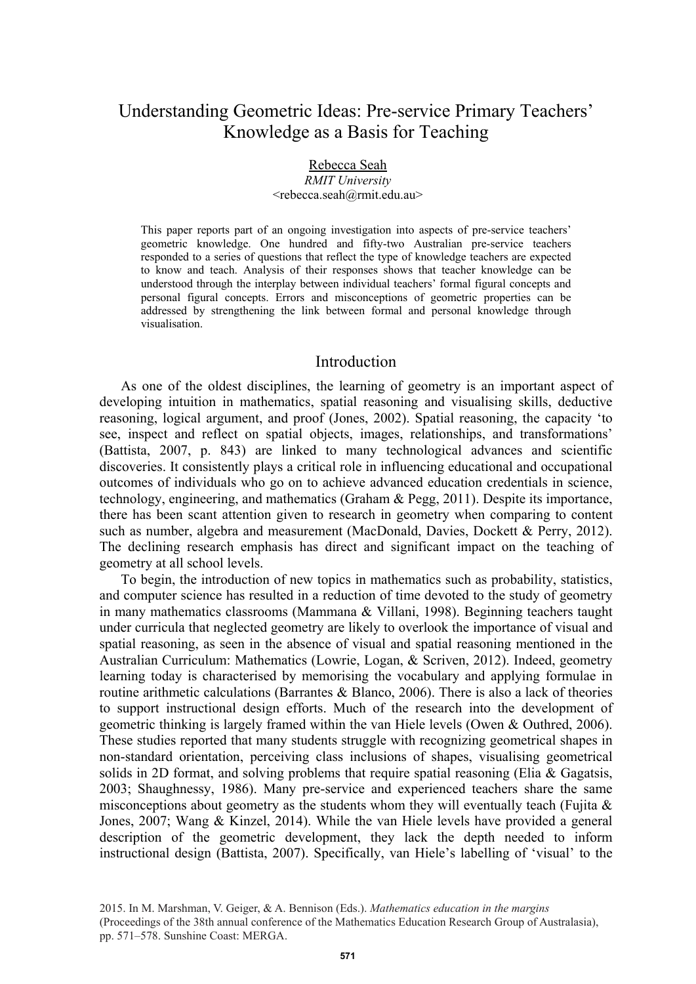# Understanding Geometric Ideas: Pre-service Primary Teachers' Knowledge as a Basis for Teaching

# Rebecca Seah

*RMIT University*  <rebecca.seah@rmit.edu.au>

This paper reports part of an ongoing investigation into aspects of pre-service teachers' geometric knowledge. One hundred and fifty-two Australian pre-service teachers responded to a series of questions that reflect the type of knowledge teachers are expected to know and teach. Analysis of their responses shows that teacher knowledge can be understood through the interplay between individual teachers' formal figural concepts and personal figural concepts. Errors and misconceptions of geometric properties can be addressed by strengthening the link between formal and personal knowledge through visualisation.

### Introduction

As one of the oldest disciplines, the learning of geometry is an important aspect of developing intuition in mathematics, spatial reasoning and visualising skills, deductive reasoning, logical argument, and proof (Jones, 2002). Spatial reasoning, the capacity 'to see, inspect and reflect on spatial objects, images, relationships, and transformations' (Battista, 2007, p. 843) are linked to many technological advances and scientific discoveries. It consistently plays a critical role in influencing educational and occupational outcomes of individuals who go on to achieve advanced education credentials in science, technology, engineering, and mathematics (Graham & Pegg, 2011). Despite its importance, there has been scant attention given to research in geometry when comparing to content such as number, algebra and measurement (MacDonald, Davies, Dockett & Perry, 2012). The declining research emphasis has direct and significant impact on the teaching of geometry at all school levels.

To begin, the introduction of new topics in mathematics such as probability, statistics, and computer science has resulted in a reduction of time devoted to the study of geometry in many mathematics classrooms (Mammana & Villani, 1998). Beginning teachers taught under curricula that neglected geometry are likely to overlook the importance of visual and spatial reasoning, as seen in the absence of visual and spatial reasoning mentioned in the Australian Curriculum: Mathematics (Lowrie, Logan, & Scriven, 2012). Indeed, geometry learning today is characterised by memorising the vocabulary and applying formulae in routine arithmetic calculations (Barrantes & Blanco, 2006). There is also a lack of theories to support instructional design efforts. Much of the research into the development of geometric thinking is largely framed within the van Hiele levels (Owen & Outhred, 2006). These studies reported that many students struggle with recognizing geometrical shapes in non-standard orientation, perceiving class inclusions of shapes, visualising geometrical solids in 2D format, and solving problems that require spatial reasoning (Elia & Gagatsis, 2003; Shaughnessy, 1986). Many pre-service and experienced teachers share the same misconceptions about geometry as the students whom they will eventually teach (Fujita  $\&$ Jones, 2007; Wang & Kinzel, 2014). While the van Hiele levels have provided a general description of the geometric development, they lack the depth needed to inform instructional design (Battista, 2007). Specifically, van Hiele's labelling of 'visual' to the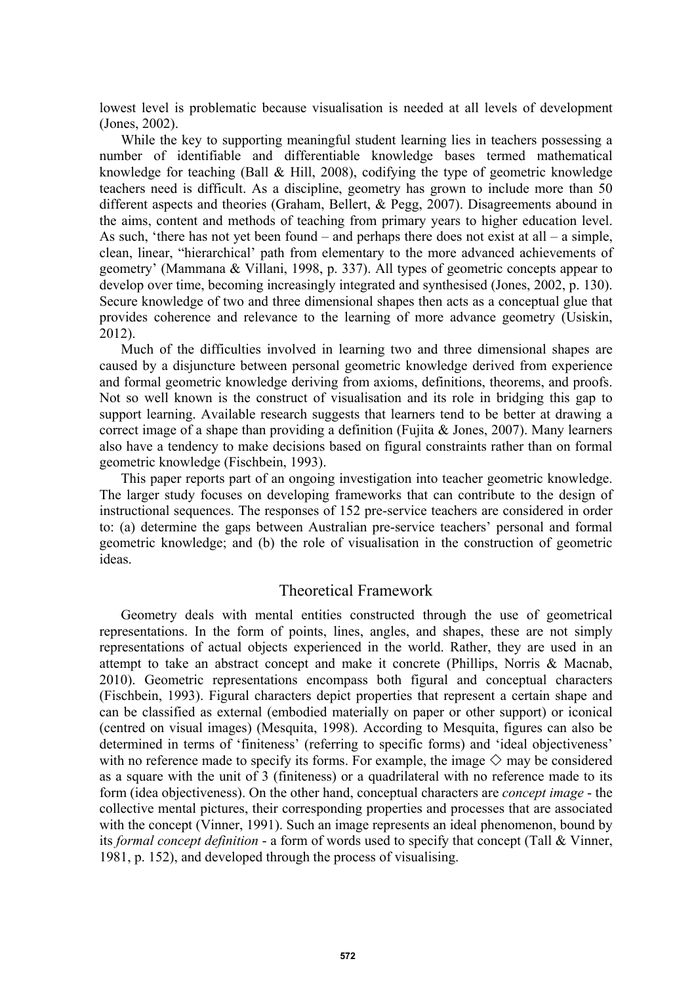lowest level is problematic because visualisation is needed at all levels of development (Jones, 2002).

While the key to supporting meaningful student learning lies in teachers possessing a number of identifiable and differentiable knowledge bases termed mathematical knowledge for teaching (Ball & Hill, 2008), codifying the type of geometric knowledge teachers need is difficult. As a discipline, geometry has grown to include more than 50 different aspects and theories (Graham, Bellert, & Pegg, 2007). Disagreements abound in the aims, content and methods of teaching from primary years to higher education level. As such, 'there has not yet been found – and perhaps there does not exist at all – a simple, clean, linear, "hierarchical' path from elementary to the more advanced achievements of geometry' (Mammana & Villani, 1998, p. 337). All types of geometric concepts appear to develop over time, becoming increasingly integrated and synthesised (Jones, 2002, p. 130). Secure knowledge of two and three dimensional shapes then acts as a conceptual glue that provides coherence and relevance to the learning of more advance geometry (Usiskin, 2012).

Much of the difficulties involved in learning two and three dimensional shapes are caused by a disjuncture between personal geometric knowledge derived from experience and formal geometric knowledge deriving from axioms, definitions, theorems, and proofs. Not so well known is the construct of visualisation and its role in bridging this gap to support learning. Available research suggests that learners tend to be better at drawing a correct image of a shape than providing a definition (Fujita & Jones, 2007). Many learners also have a tendency to make decisions based on figural constraints rather than on formal geometric knowledge (Fischbein, 1993).

This paper reports part of an ongoing investigation into teacher geometric knowledge. The larger study focuses on developing frameworks that can contribute to the design of instructional sequences. The responses of 152 pre-service teachers are considered in order to: (a) determine the gaps between Australian pre-service teachers' personal and formal geometric knowledge; and (b) the role of visualisation in the construction of geometric ideas.

## Theoretical Framework

Geometry deals with mental entities constructed through the use of geometrical representations. In the form of points, lines, angles, and shapes, these are not simply representations of actual objects experienced in the world. Rather, they are used in an attempt to take an abstract concept and make it concrete (Phillips, Norris & Macnab, 2010). Geometric representations encompass both figural and conceptual characters (Fischbein, 1993). Figural characters depict properties that represent a certain shape and can be classified as external (embodied materially on paper or other support) or iconical (centred on visual images) (Mesquita, 1998). According to Mesquita, figures can also be determined in terms of 'finiteness' (referring to specific forms) and 'ideal objectiveness' with no reference made to specify its forms. For example, the image  $\diamondsuit$  may be considered as a square with the unit of 3 (finiteness) or a quadrilateral with no reference made to its form (idea objectiveness). On the other hand, conceptual characters are *concept image* - the collective mental pictures, their corresponding properties and processes that are associated with the concept (Vinner, 1991). Such an image represents an ideal phenomenon, bound by its *formal concept definition* - a form of words used to specify that concept (Tall & Vinner, 1981, p. 152), and developed through the process of visualising.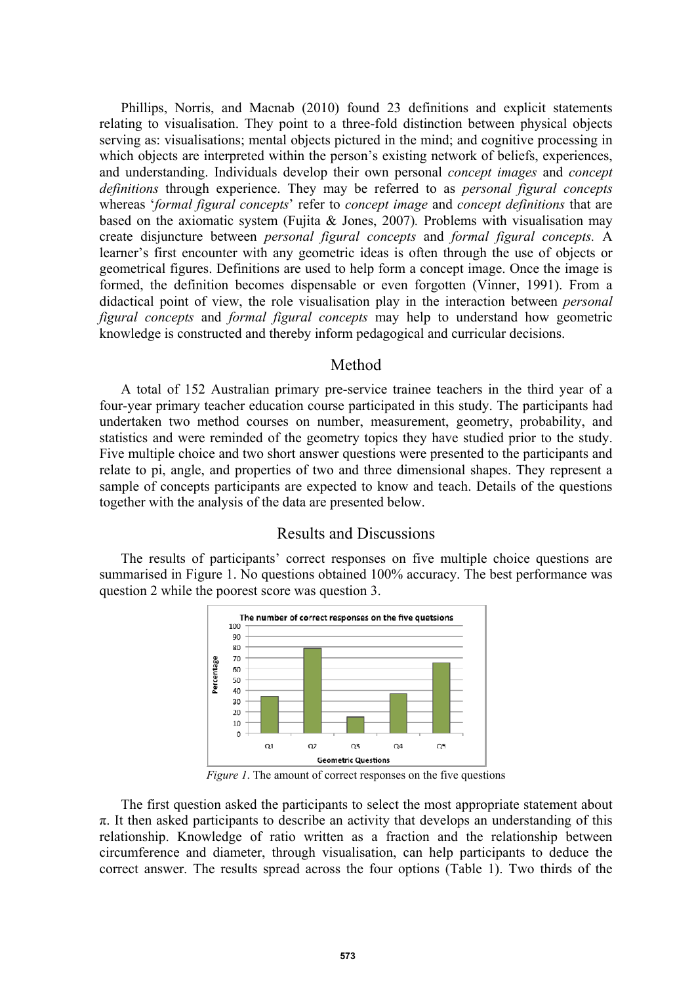Phillips, Norris, and Macnab (2010) found 23 definitions and explicit statements relating to visualisation. They point to a three-fold distinction between physical objects serving as: visualisations; mental objects pictured in the mind; and cognitive processing in which objects are interpreted within the person's existing network of beliefs, experiences, and understanding. Individuals develop their own personal *concept images* and *concept definitions* through experience. They may be referred to as *personal figural concepts* whereas '*formal figural concepts*' refer to *concept image* and *concept definitions* that are based on the axiomatic system (Fujita & Jones, 2007)*.* Problems with visualisation may create disjuncture between *personal figural concepts* and *formal figural concepts.* A learner's first encounter with any geometric ideas is often through the use of objects or geometrical figures. Definitions are used to help form a concept image. Once the image is formed, the definition becomes dispensable or even forgotten (Vinner, 1991). From a didactical point of view, the role visualisation play in the interaction between *personal figural concepts* and *formal figural concepts* may help to understand how geometric knowledge is constructed and thereby inform pedagogical and curricular decisions.

### Method

A total of 152 Australian primary pre-service trainee teachers in the third year of a four-year primary teacher education course participated in this study. The participants had undertaken two method courses on number, measurement, geometry, probability, and statistics and were reminded of the geometry topics they have studied prior to the study. Five multiple choice and two short answer questions were presented to the participants and relate to pi, angle, and properties of two and three dimensional shapes. They represent a sample of concepts participants are expected to know and teach. Details of the questions together with the analysis of the data are presented below.

# Results and Discussions

The results of participants' correct responses on five multiple choice questions are summarised in Figure 1. No questions obtained 100% accuracy. The best performance was question 2 while the poorest score was question 3.



*Figure 1*. The amount of correct responses on the five questions

The first question asked the participants to select the most appropriate statement about  $\pi$ . It then asked participants to describe an activity that develops an understanding of this relationship. Knowledge of ratio written as a fraction and the relationship between circumference and diameter, through visualisation, can help participants to deduce the correct answer. The results spread across the four options (Table 1). Two thirds of the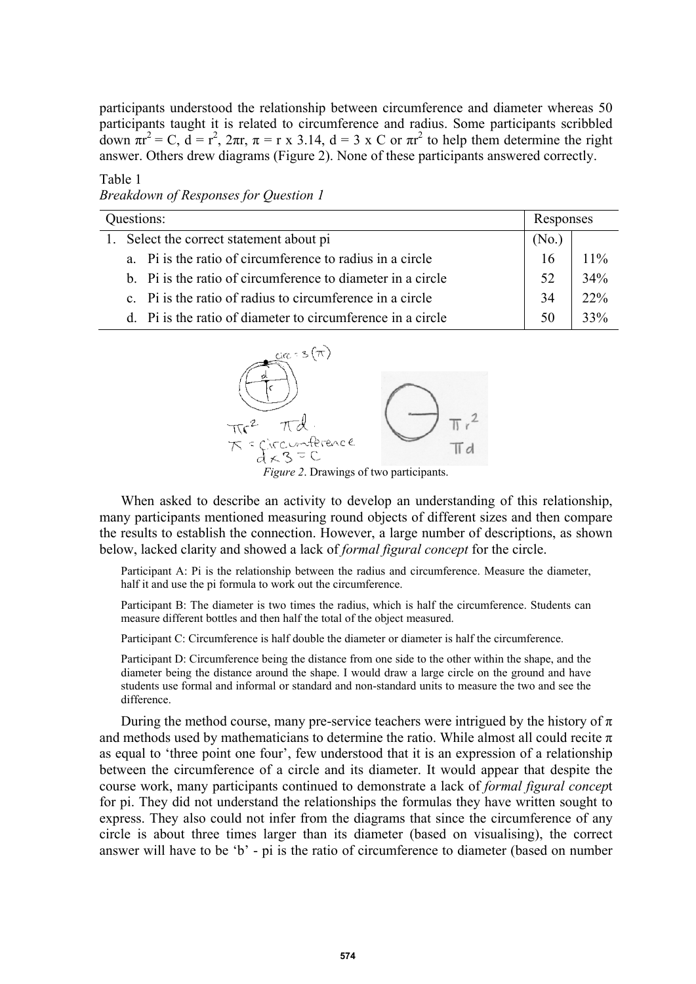participants understood the relationship between circumference and diameter whereas 50 participants taught it is related to circumference and radius. Some participants scribbled down  $\pi r^2 = C$ ,  $d = r^2$ ,  $2\pi r$ ,  $\pi = r \times 3.14$ ,  $d = 3 \times C$  or  $\pi r^2$  to help them determine the right answer. Others drew diagrams (Figure 2). None of these participants answered correctly.

#### Table 1 *Breakdown of Responses for Question 1*

| Questions:                                                  |       | Responses |  |
|-------------------------------------------------------------|-------|-----------|--|
| 1. Select the correct statement about pi                    | (No.) |           |  |
| a. Pi is the ratio of circumference to radius in a circle   | 16    | 11%       |  |
| b. Pi is the ratio of circumference to diameter in a circle | 52    | 34%       |  |
| c. Pi is the ratio of radius to circumference in a circle   | 34    | 22%       |  |
| d. Pi is the ratio of diameter to circumference in a circle | 50    | 33%       |  |



*Figure 2*. Drawings of two participants.

When asked to describe an activity to develop an understanding of this relationship, many participants mentioned measuring round objects of different sizes and then compare the results to establish the connection. However, a large number of descriptions, as shown below, lacked clarity and showed a lack of *formal figural concept* for the circle.

Participant A: Pi is the relationship between the radius and circumference. Measure the diameter, half it and use the pi formula to work out the circumference.

Participant B: The diameter is two times the radius, which is half the circumference. Students can measure different bottles and then half the total of the object measured.

Participant C: Circumference is half double the diameter or diameter is half the circumference.

Participant D: Circumference being the distance from one side to the other within the shape, and the diameter being the distance around the shape. I would draw a large circle on the ground and have students use formal and informal or standard and non-standard units to measure the two and see the difference.

During the method course, many pre-service teachers were intrigued by the history of  $\pi$ and methods used by mathematicians to determine the ratio. While almost all could recite  $\pi$ as equal to 'three point one four', few understood that it is an expression of a relationship between the circumference of a circle and its diameter. It would appear that despite the course work, many participants continued to demonstrate a lack of *formal figural concep*t for pi. They did not understand the relationships the formulas they have written sought to express. They also could not infer from the diagrams that since the circumference of any circle is about three times larger than its diameter (based on visualising), the correct answer will have to be 'b' - pi is the ratio of circumference to diameter (based on number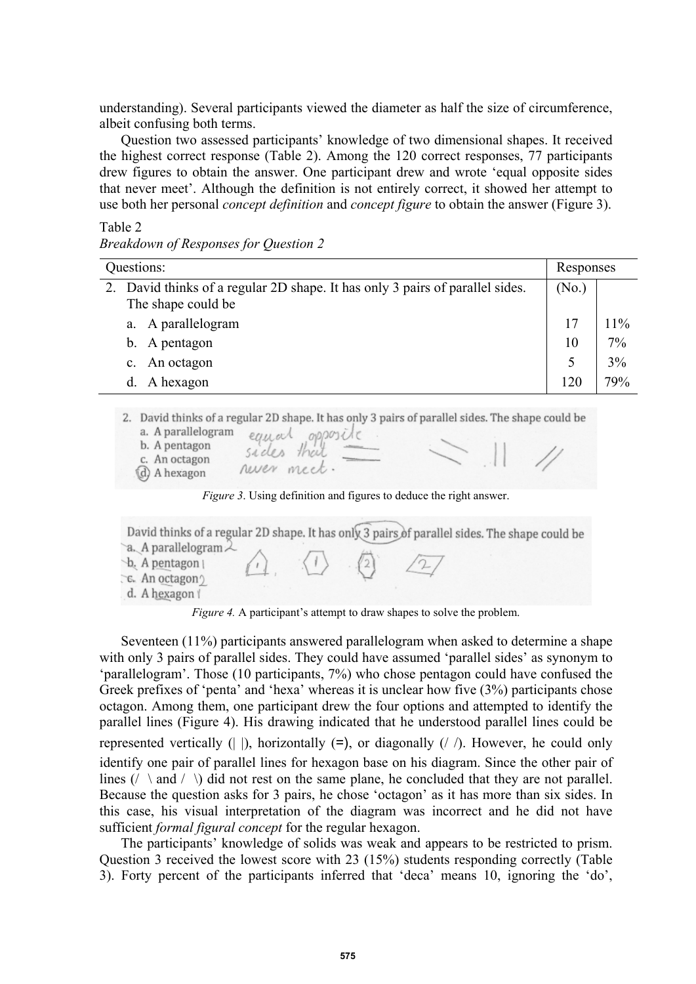understanding). Several participants viewed the diameter as half the size of circumference, albeit confusing both terms.

Question two assessed participants' knowledge of two dimensional shapes. It received the highest correct response (Table 2). Among the 120 correct responses, 77 participants drew figures to obtain the answer. One participant drew and wrote 'equal opposite sides that never meet'. Although the definition is not entirely correct, it showed her attempt to use both her personal *concept definition* and *concept figure* to obtain the answer (Figure 3).

## Table 2

*Breakdown of Responses for Question 2* 

| Questions: |                                                                               | Responses |     |
|------------|-------------------------------------------------------------------------------|-----------|-----|
|            | 2. David thinks of a regular 2D shape. It has only 3 pairs of parallel sides. | (No.)     |     |
|            | The shape could be                                                            |           |     |
|            | a. A parallelogram                                                            | 17        | 11% |
|            | A pentagon<br>$b_{-}$                                                         | 10        | 7%  |
|            | An octagon<br>$c_{\cdot}$                                                     |           | 3%  |
|            | A hexagon                                                                     | 120       | 79% |

2. David thinks of a regular 2D shape. It has only 3 pairs of parallel sides. The shape could be

| a. A parallelogram<br>b. A pentagon | opposite<br>equal         |  |
|-------------------------------------|---------------------------|--|
| c. An octagon<br>(d) A hexagon      | sades that<br>never meet. |  |

*Figure 3*. Using definition and figures to deduce the right answer.

David thinks of a regular 2D shape. It has only 3 pairs of parallel sides. The shape could be a. A parallelogram 2 b. A pentagon | C. An octagon d. A hexagon /

*Figure 4.* A participant's attempt to draw shapes to solve the problem.

Seventeen (11%) participants answered parallelogram when asked to determine a shape with only 3 pairs of parallel sides. They could have assumed 'parallel sides' as synonym to 'parallelogram'. Those (10 participants, 7%) who chose pentagon could have confused the Greek prefixes of 'penta' and 'hexa' whereas it is unclear how five (3%) participants chose octagon. Among them, one participant drew the four options and attempted to identify the parallel lines (Figure 4). His drawing indicated that he understood parallel lines could be represented vertically ( $| \cdot |$ ), horizontally ( $=$ ), or diagonally ( $\prime$   $\prime$ ). However, he could only identify one pair of parallel lines for hexagon base on his diagram. Since the other pair of lines (/ \ and / \) did not rest on the same plane, he concluded that they are not parallel. Because the question asks for 3 pairs, he chose 'octagon' as it has more than six sides. In this case, his visual interpretation of the diagram was incorrect and he did not have sufficient *formal figural concept* for the regular hexagon.

The participants' knowledge of solids was weak and appears to be restricted to prism. Question 3 received the lowest score with 23 (15%) students responding correctly (Table 3). Forty percent of the participants inferred that 'deca' means 10, ignoring the 'do',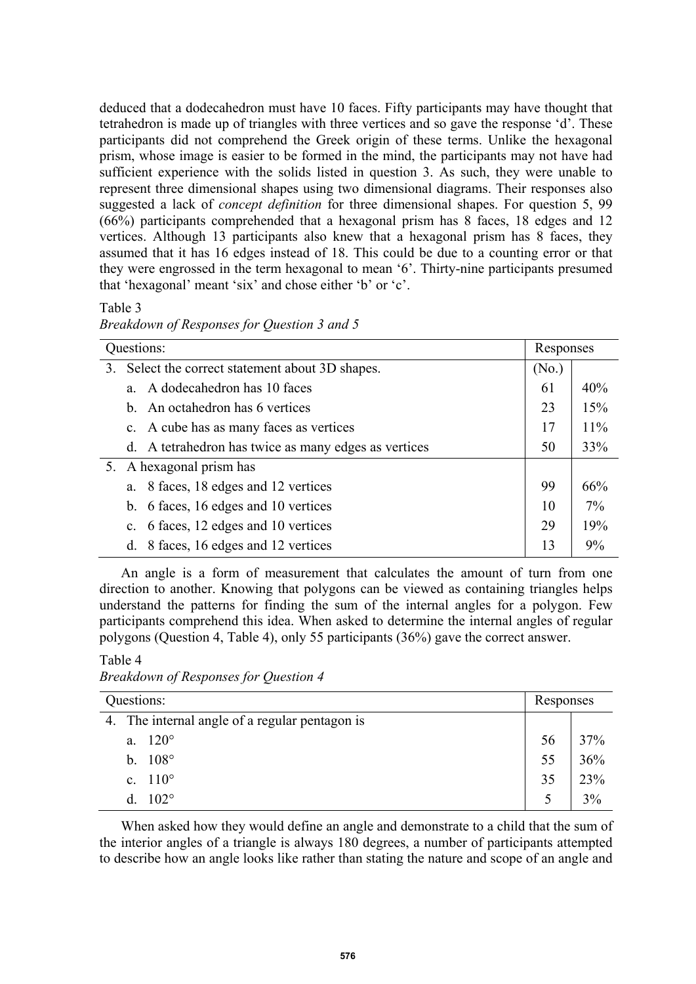deduced that a dodecahedron must have 10 faces. Fifty participants may have thought that tetrahedron is made up of triangles with three vertices and so gave the response 'd'. These participants did not comprehend the Greek origin of these terms. Unlike the hexagonal prism, whose image is easier to be formed in the mind, the participants may not have had sufficient experience with the solids listed in question 3. As such, they were unable to represent three dimensional shapes using two dimensional diagrams. Their responses also suggested a lack of *concept definition* for three dimensional shapes. For question 5, 99 (66%) participants comprehended that a hexagonal prism has 8 faces, 18 edges and 12 vertices. Although 13 participants also knew that a hexagonal prism has 8 faces, they assumed that it has 16 edges instead of 18. This could be due to a counting error or that they were engrossed in the term hexagonal to mean '6'. Thirty-nine participants presumed that 'hexagonal' meant 'six' and chose either 'b' or 'c'.

Table 3

| Breakdown of Responses for Question 3 and 5 |  |  |  |
|---------------------------------------------|--|--|--|
|                                             |  |  |  |

| Questions:                                           |                   | Responses |  |
|------------------------------------------------------|-------------------|-----------|--|
| 3. Select the correct statement about 3D shapes.     | (N <sub>0</sub> ) |           |  |
| A dodecahedron has 10 faces<br>$a_{-}$               | 61                | 40%       |  |
| b. An octahedron has 6 vertices                      | 23                | 15%       |  |
| c. A cube has as many faces as vertices              | 17                | 11%       |  |
| d. A tetrahedron has twice as many edges as vertices | 50                | 33%       |  |
| 5. A hexagonal prism has                             |                   |           |  |
| 8 faces, 18 edges and 12 vertices<br>a.              | 99                | 66%       |  |
| b. 6 faces, 16 edges and 10 vertices                 | 10                | 7%        |  |
| c. 6 faces, 12 edges and 10 vertices                 | 29                | 19%       |  |
| 8 faces, 16 edges and 12 vertices<br>d.              | 13                | 9%        |  |

An angle is a form of measurement that calculates the amount of turn from one direction to another. Knowing that polygons can be viewed as containing triangles helps understand the patterns for finding the sum of the internal angles for a polygon. Few participants comprehend this idea. When asked to determine the internal angles of regular polygons (Question 4, Table 4), only 55 participants (36%) gave the correct answer.

Table 4

*Breakdown of Responses for Question 4* 

| Questions:                                     |    | Responses |  |
|------------------------------------------------|----|-----------|--|
| 4. The internal angle of a regular pentagon is |    |           |  |
| a. $120^{\circ}$                               | 56 | 37%       |  |
| b. $108^{\circ}$                               | 55 | 36%       |  |
| c. $110^{\circ}$                               | 35 | 23%       |  |
| $102^\circ$<br>d.                              |    | 3%        |  |

When asked how they would define an angle and demonstrate to a child that the sum of the interior angles of a triangle is always 180 degrees, a number of participants attempted to describe how an angle looks like rather than stating the nature and scope of an angle and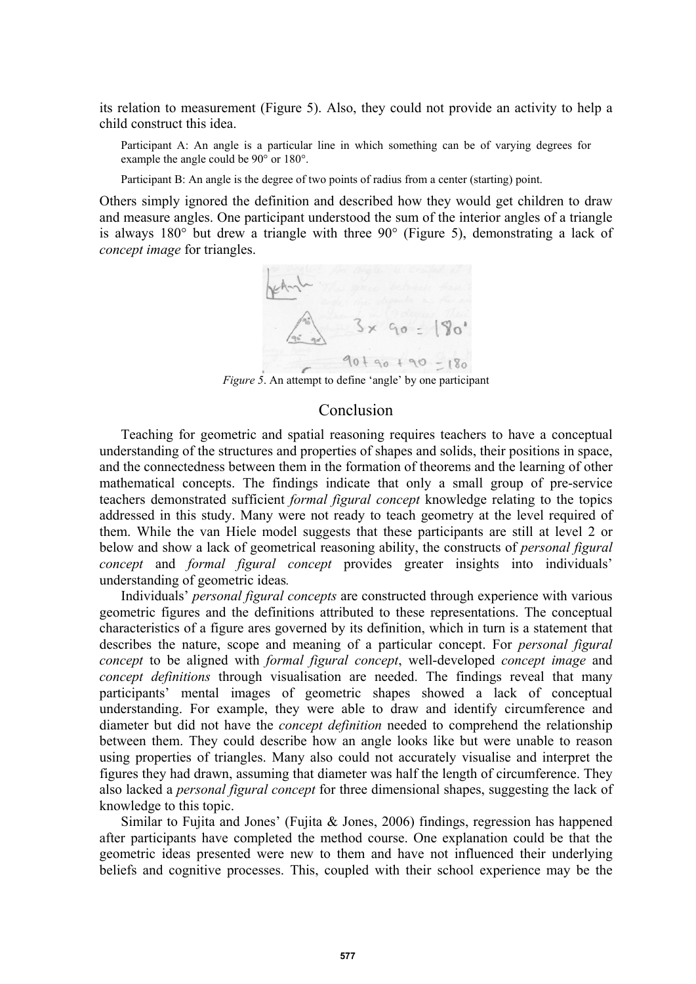its relation to measurement (Figure 5). Also, they could not provide an activity to help a child construct this idea.

Participant A: An angle is a particular line in which something can be of varying degrees for example the angle could be 90° or 180°.

Participant B: An angle is the degree of two points of radius from a center (starting) point.

Others simply ignored the definition and described how they would get children to draw and measure angles. One participant understood the sum of the interior angles of a triangle is always 180° but drew a triangle with three 90° (Figure 5), demonstrating a lack of *concept image* for triangles.



*Figure 5*. An attempt to define 'angle' by one participant

### Conclusion

Teaching for geometric and spatial reasoning requires teachers to have a conceptual understanding of the structures and properties of shapes and solids, their positions in space, and the connectedness between them in the formation of theorems and the learning of other mathematical concepts. The findings indicate that only a small group of pre-service teachers demonstrated sufficient *formal figural concept* knowledge relating to the topics addressed in this study. Many were not ready to teach geometry at the level required of them. While the van Hiele model suggests that these participants are still at level 2 or below and show a lack of geometrical reasoning ability, the constructs of *personal figural concept* and *formal figural concept* provides greater insights into individuals' understanding of geometric ideas*.*

Individuals' *personal figural concepts* are constructed through experience with various geometric figures and the definitions attributed to these representations. The conceptual characteristics of a figure ares governed by its definition, which in turn is a statement that describes the nature, scope and meaning of a particular concept. For *personal figural concept* to be aligned with *formal figural concept*, well-developed *concept image* and *concept definitions* through visualisation are needed. The findings reveal that many participants' mental images of geometric shapes showed a lack of conceptual understanding. For example, they were able to draw and identify circumference and diameter but did not have the *concept definition* needed to comprehend the relationship between them. They could describe how an angle looks like but were unable to reason using properties of triangles. Many also could not accurately visualise and interpret the figures they had drawn, assuming that diameter was half the length of circumference. They also lacked a *personal figural concept* for three dimensional shapes, suggesting the lack of knowledge to this topic.

Similar to Fujita and Jones' (Fujita & Jones, 2006) findings, regression has happened after participants have completed the method course. One explanation could be that the geometric ideas presented were new to them and have not influenced their underlying beliefs and cognitive processes. This, coupled with their school experience may be the